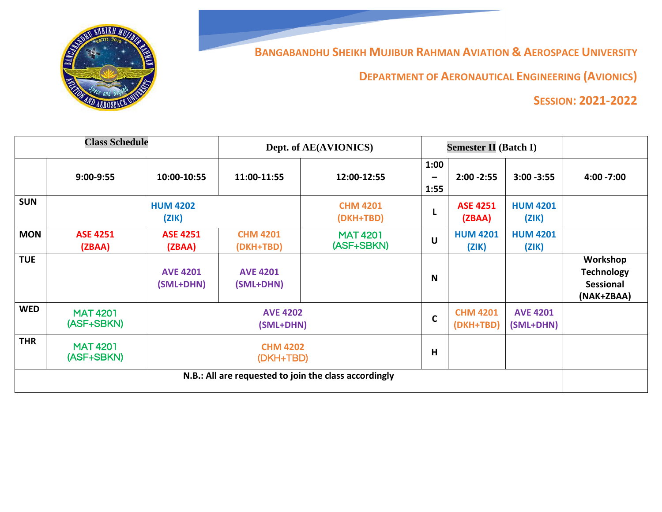

**BANGABANDHU SHEIKH MUJIBUR RAHMAN AVIATION & AEROSPACE UNIVERSITY**

**DEPARTMENT OF AERONAUTICAL ENGINEERING (AVIONICS)**

## **SESSION: 2021-2022**

| <b>Class Schedule</b>                                 |                               |                              | Dept. of AE(AVIONICS)        |                               | <b>Semester II (Batch I)</b> |                              |                          |                                                                 |
|-------------------------------------------------------|-------------------------------|------------------------------|------------------------------|-------------------------------|------------------------------|------------------------------|--------------------------|-----------------------------------------------------------------|
|                                                       | 9:00-9:55                     | 10:00-10:55                  | 11:00-11:55                  | 12:00-12:55                   | 1:00<br>-<br>1:55            | $2:00 - 2:55$                | $3:00 - 3:55$            | $4:00 - 7:00$                                                   |
| <b>SUN</b>                                            |                               | <b>HUM 4202</b><br>(ZIK)     |                              | <b>CHM 4201</b><br>(DKH+TBD)  | L                            | <b>ASE 4251</b><br>(ZBAA)    | <b>HUM 4201</b><br>(ZIK) |                                                                 |
| <b>MON</b>                                            | <b>ASE 4251</b><br>(ZBAA)     | <b>ASE 4251</b><br>(ZBAA)    | <b>CHM 4201</b><br>(DKH+TBD) | <b>MAT 4201</b><br>(ASF+SBKN) | $\mathsf{U}$                 | <b>HUM 4201</b><br>(ZIK)     | <b>HUM 4201</b><br>(ZIK) |                                                                 |
| <b>TUE</b>                                            |                               | <b>AVE 4201</b><br>(SML+DHN) | <b>AVE 4201</b><br>(SML+DHN) |                               | N                            |                              |                          | Workshop<br><b>Technology</b><br><b>Sessional</b><br>(NAK+ZBAA) |
| <b>WED</b>                                            | <b>MAT 4201</b><br>(ASF+SBKN) | <b>AVE 4202</b><br>(SML+DHN) |                              | $\mathbf C$                   | <b>CHM 4201</b><br>(DKH+TBD) | <b>AVE 4201</b><br>(SML+DHN) |                          |                                                                 |
| <b>THR</b>                                            | <b>MAT 4201</b><br>(ASF+SBKN) | <b>CHM 4202</b><br>(DKH+TBD) |                              |                               | $\overline{\mathsf{H}}$      |                              |                          |                                                                 |
| N.B.: All are requested to join the class accordingly |                               |                              |                              |                               |                              |                              |                          |                                                                 |